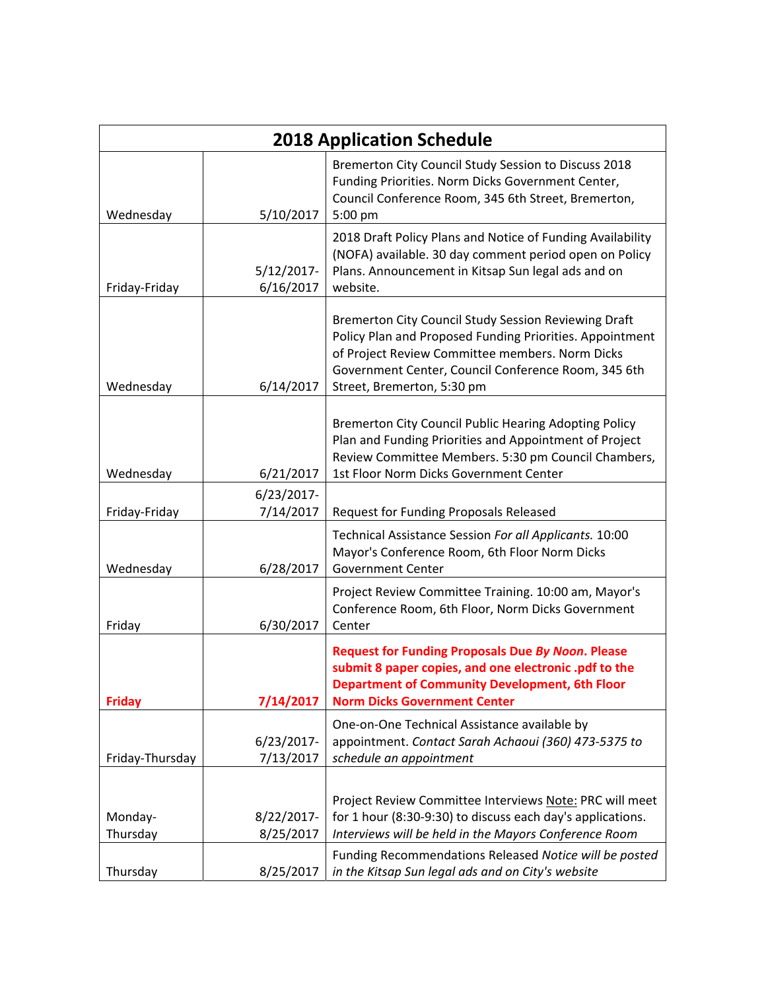| <b>2018 Application Schedule</b> |                            |                                                                                                                                                                                                                                                          |
|----------------------------------|----------------------------|----------------------------------------------------------------------------------------------------------------------------------------------------------------------------------------------------------------------------------------------------------|
| Wednesday                        | 5/10/2017                  | Bremerton City Council Study Session to Discuss 2018<br>Funding Priorities. Norm Dicks Government Center,<br>Council Conference Room, 345 6th Street, Bremerton,<br>5:00 pm                                                                              |
| Friday-Friday                    | $5/12/2017$ -<br>6/16/2017 | 2018 Draft Policy Plans and Notice of Funding Availability<br>(NOFA) available. 30 day comment period open on Policy<br>Plans. Announcement in Kitsap Sun legal ads and on<br>website.                                                                   |
| Wednesday                        | 6/14/2017                  | Bremerton City Council Study Session Reviewing Draft<br>Policy Plan and Proposed Funding Priorities. Appointment<br>of Project Review Committee members. Norm Dicks<br>Government Center, Council Conference Room, 345 6th<br>Street, Bremerton, 5:30 pm |
| Wednesday                        | 6/21/2017                  | Bremerton City Council Public Hearing Adopting Policy<br>Plan and Funding Priorities and Appointment of Project<br>Review Committee Members. 5:30 pm Council Chambers,<br>1st Floor Norm Dicks Government Center                                         |
| Friday-Friday                    | $6/23/2017$ -<br>7/14/2017 | Request for Funding Proposals Released                                                                                                                                                                                                                   |
| Wednesday                        | 6/28/2017                  | Technical Assistance Session For all Applicants. 10:00<br>Mayor's Conference Room, 6th Floor Norm Dicks<br><b>Government Center</b>                                                                                                                      |
| Friday                           | 6/30/2017                  | Project Review Committee Training. 10:00 am, Mayor's<br>Conference Room, 6th Floor, Norm Dicks Government<br>Center                                                                                                                                      |
| <b>Friday</b>                    | 7/14/2017                  | <b>Request for Funding Proposals Due By Noon. Please</b><br>submit 8 paper copies, and one electronic .pdf to the<br><b>Department of Community Development, 6th Floor</b><br><b>Norm Dicks Government Center</b>                                        |
| Friday-Thursday                  | 6/23/2017-<br>7/13/2017    | One-on-One Technical Assistance available by<br>appointment. Contact Sarah Achaoui (360) 473-5375 to<br>schedule an appointment                                                                                                                          |
| Monday-<br>Thursday              | 8/22/2017-<br>8/25/2017    | Project Review Committee Interviews Note: PRC will meet<br>for 1 hour (8:30-9:30) to discuss each day's applications.<br>Interviews will be held in the Mayors Conference Room                                                                           |
| Thursday                         | 8/25/2017                  | Funding Recommendations Released Notice will be posted<br>in the Kitsap Sun legal ads and on City's website                                                                                                                                              |